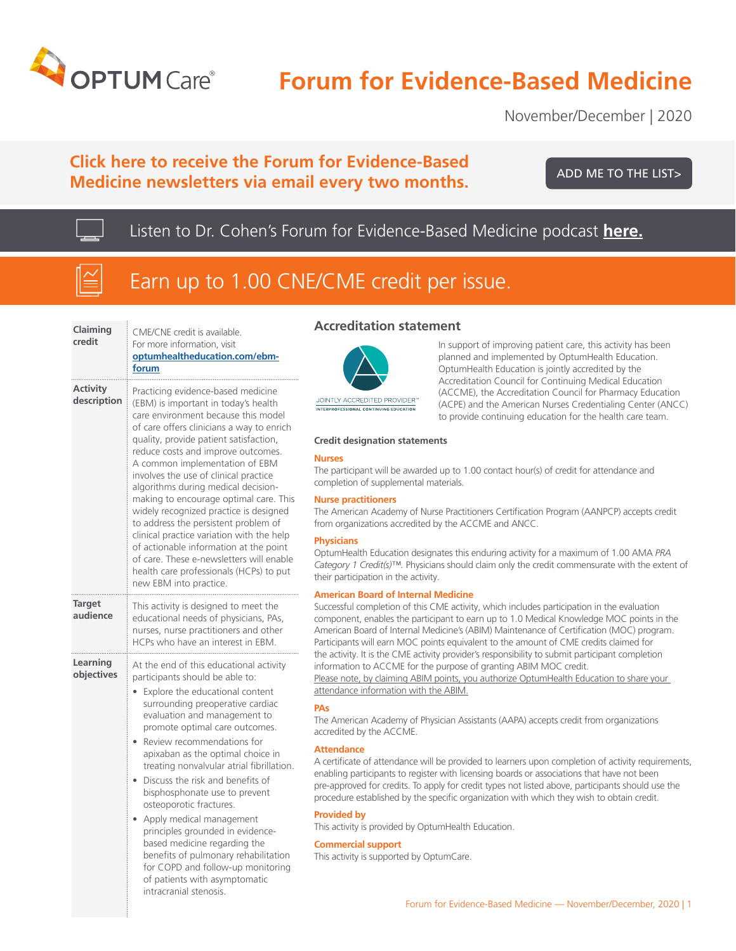

# **Forum for Evidence-Based Medicine**

November/December | 2020

# **Click here to receive the Forum for Evidence-Based Medicine newsletters via email every two months.**

[ADD ME TO THE LIST>](https://www.optumhealtheducation.com/ebm-forum-list )

Listen to Dr. Cohen's Forum for Evidence-Based Medicine podcast **[here.](https://uhg.video.uhc.com/media/POD_FEBM_NOV_DEC_102020/1_9fm1s6h5)**



# Earn up to 1.00 CNE/CME credit per issue.

| Claiming<br>credit             | CME/CNE credit is available.<br>For more information, visit<br>optumhealtheducation.com/ebm-<br>forum                                                                                                                                                                                                                                                                                                                                                                                                                                                                                                                                                                                                |  |  |
|--------------------------------|------------------------------------------------------------------------------------------------------------------------------------------------------------------------------------------------------------------------------------------------------------------------------------------------------------------------------------------------------------------------------------------------------------------------------------------------------------------------------------------------------------------------------------------------------------------------------------------------------------------------------------------------------------------------------------------------------|--|--|
| <b>Activity</b><br>description | Practicing evidence-based medicine<br>(EBM) is important in today's health<br>care environment because this model<br>of care offers clinicians a way to enrich<br>quality, provide patient satisfaction,<br>reduce costs and improve outcomes.<br>A common implementation of EBM<br>involves the use of clinical practice<br>algorithms during medical decision-<br>making to encourage optimal care. This<br>widely recognized practice is designed<br>to address the persistent problem of<br>clinical practice variation with the help<br>of actionable information at the point<br>of care. These e-newsletters will enable<br>health care professionals (HCPs) to put<br>new EBM into practice. |  |  |
| <b>Target</b><br>audience      | This activity is designed to meet the<br>educational needs of physicians, PAs,<br>nurses, nurse practitioners and other<br>HCPs who have an interest in EBM.                                                                                                                                                                                                                                                                                                                                                                                                                                                                                                                                         |  |  |
| Learning<br>objectives         | At the end of this educational activity<br>participants should be able to:<br>Explore the educational content<br>surrounding preoperative cardiac<br>evaluation and management to<br>promote optimal care outcomes.<br>Review recommendations for<br>apixaban as the optimal choice in<br>treating nonvalvular atrial fibrillation.<br>Discuss the risk and benefits of<br>bisphosphonate use to prevent<br>osteoporotic fractures.<br>Apply medical management<br>principles grounded in evidence-<br>based medicine regarding the<br>benefits of pulmonary rehabilitation<br>for COPD and follow-up monitoring<br>of patients with asymptomatic                                                    |  |  |

intracranial stenosis.

## **Accreditation statement**



JOINTLY ACCREDITED PROVIDER' INTERPROFESSIONAL CONTINUING EDUCATION

In support of improving patient care, this activity has been planned and implemented by OptumHealth Education. OptumHealth Education is jointly accredited by the Accreditation Council for Continuing Medical Education (ACCME), the Accreditation Council for Pharmacy Education (ACPE) and the American Nurses Credentialing Center (ANCC) to provide continuing education for the health care team.

### **Credit designation statements**

### **Nurses**

The participant will be awarded up to 1.00 contact hour(s) of credit for attendance and completion of supplemental materials.

### **Nurse practitioners**

The American Academy of Nurse Practitioners Certification Program (AANPCP) accepts credit from organizations accredited by the ACCME and ANCC.

### **Physicians**

OptumHealth Education designates this enduring activity for a maximum of 1.00 AMA *PRA Category 1 Credit(s)™.* Physicians should claim only the credit commensurate with the extent of their participation in the activity.

### **American Board of Internal Medicine**

Successful completion of this CME activity, which includes participation in the evaluation component, enables the participant to earn up to 1.0 Medical Knowledge MOC points in the American Board of Internal Medicine's (ABIM) Maintenance of Certification (MOC) program. Participants will earn MOC points equivalent to the amount of CME credits claimed for the activity. It is the CME activity provider's responsibility to submit participant completion information to ACCME for the purpose of granting ABIM MOC credit. Please note, by claiming ABIM points, you authorize OptumHealth Education to share your attendance information with the ABIM.

### **PAs**

The American Academy of Physician Assistants (AAPA) accepts credit from organizations accredited by the ACCME.

### **Attendance**

A certificate of attendance will be provided to learners upon completion of activity requirements, enabling participants to register with licensing boards or associations that have not been pre-approved for credits. To apply for credit types not listed above, participants should use the procedure established by the specific organization with which they wish to obtain credit.

### **Provided by**

This activity is provided by OptumHealth Education.

### **Commercial support**

This activity is supported by OptumCare.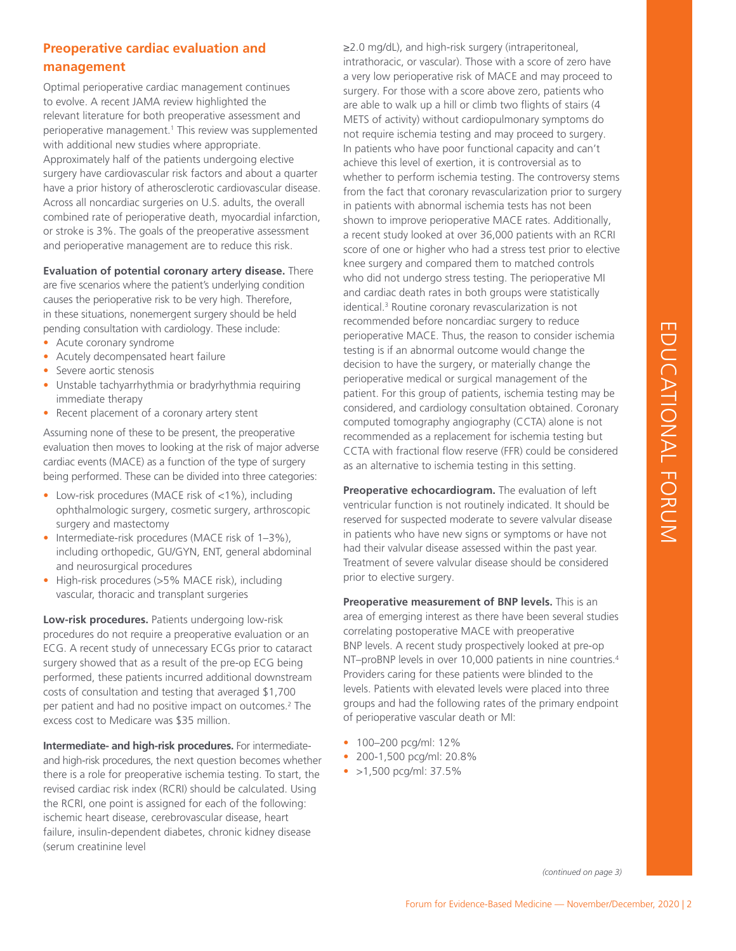# EDUCATIONAL FORUM EDUCATIONAL FORUM

# **Preoperative cardiac evaluation and management**

Optimal perioperative cardiac management continues to evolve. A recent JAMA review highlighted the relevant literature for both preoperative assessment and perioperative management.<sup>1</sup> This review was supplemented with additional new studies where appropriate. Approximately half of the patients undergoing elective surgery have cardiovascular risk factors and about a quarter have a prior history of atherosclerotic cardiovascular disease. Across all noncardiac surgeries on U.S. adults, the overall combined rate of perioperative death, myocardial infarction, or stroke is 3%. The goals of the preoperative assessment and perioperative management are to reduce this risk.

**Evaluation of potential coronary artery disease.** There are five scenarios where the patient's underlying condition causes the perioperative risk to be very high. Therefore, in these situations, nonemergent surgery should be held pending consultation with cardiology. These include:

- Acute coronary syndrome
- Acutely decompensated heart failure
- Severe aortic stenosis
- Unstable tachyarrhythmia or bradyrhythmia requiring immediate therapy
- Recent placement of a coronary artery stent

Assuming none of these to be present, the preoperative evaluation then moves to looking at the risk of major adverse cardiac events (MACE) as a function of the type of surgery being performed. These can be divided into three categories:

- Low-risk procedures (MACE risk of <1%), including ophthalmologic surgery, cosmetic surgery, arthroscopic surgery and mastectomy
- Intermediate-risk procedures (MACE risk of 1–3%), including orthopedic, GU/GYN, ENT, general abdominal and neurosurgical procedures
- High-risk procedures (>5% MACE risk), including vascular, thoracic and transplant surgeries

**Low-risk procedures.** Patients undergoing low-risk procedures do not require a preoperative evaluation or an ECG. A recent study of unnecessary ECGs prior to cataract surgery showed that as a result of the pre-op ECG being performed, these patients incurred additional downstream costs of consultation and testing that averaged \$1,700 per patient and had no positive impact on outcomes.2 The excess cost to Medicare was \$35 million.

**Intermediate- and high-risk procedures.** For intermediateand high-risk procedures, the next question becomes whether there is a role for preoperative ischemia testing. To start, the revised cardiac risk index (RCRI) should be calculated. Using the RCRI, one point is assigned for each of the following: ischemic heart disease, cerebrovascular disease, heart failure, insulin-dependent diabetes, chronic kidney disease (serum creatinine level

≥2.0 mg/dL), and high-risk surgery (intraperitoneal, intrathoracic, or vascular). Those with a score of zero have a very low perioperative risk of MACE and may proceed to surgery. For those with a score above zero, patients who are able to walk up a hill or climb two flights of stairs (4 METS of activity) without cardiopulmonary symptoms do not require ischemia testing and may proceed to surgery. In patients who have poor functional capacity and can't achieve this level of exertion, it is controversial as to whether to perform ischemia testing. The controversy stems from the fact that coronary revascularization prior to surgery in patients with abnormal ischemia tests has not been shown to improve perioperative MACE rates. Additionally, a recent study looked at over 36,000 patients with an RCRI score of one or higher who had a stress test prior to elective knee surgery and compared them to matched controls who did not undergo stress testing. The perioperative MI and cardiac death rates in both groups were statistically identical.3 Routine coronary revascularization is not recommended before noncardiac surgery to reduce perioperative MACE. Thus, the reason to consider ischemia testing is if an abnormal outcome would change the decision to have the surgery, or materially change the perioperative medical or surgical management of the patient. For this group of patients, ischemia testing may be considered, and cardiology consultation obtained. Coronary computed tomography angiography (CCTA) alone is not recommended as a replacement for ischemia testing but CCTA with fractional flow reserve (FFR) could be considered as an alternative to ischemia testing in this setting.

**Preoperative echocardiogram.** The evaluation of left ventricular function is not routinely indicated. It should be reserved for suspected moderate to severe valvular disease in patients who have new signs or symptoms or have not had their valvular disease assessed within the past year. Treatment of severe valvular disease should be considered prior to elective surgery.

**Preoperative measurement of BNP levels.** This is an area of emerging interest as there have been several studies correlating postoperative MACE with preoperative BNP levels. A recent study prospectively looked at pre-op NT–proBNP levels in over 10,000 patients in nine countries.<sup>4</sup> Providers caring for these patients were blinded to the levels. Patients with elevated levels were placed into three groups and had the following rates of the primary endpoint of perioperative vascular death or MI:

- 100-200 pcg/ml: 12%
- 200-1,500 pcg/ml: 20.8%
- $\bullet$  >1,500 pcg/ml: 37.5%

*(continued on page 3)*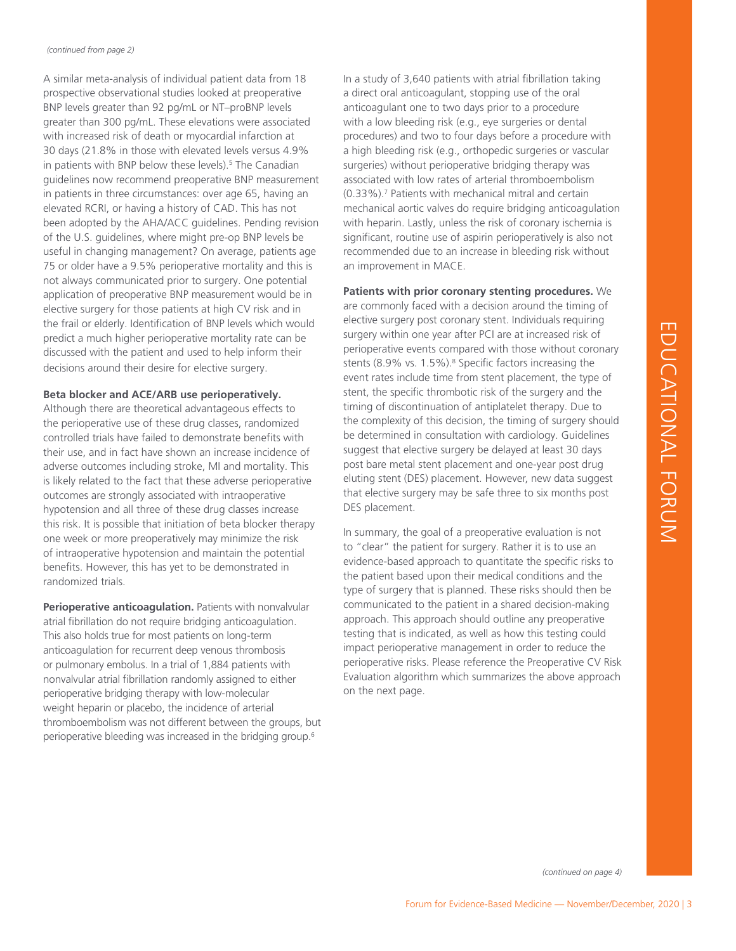A similar meta-analysis of individual patient data from 18 prospective observational studies looked at preoperative BNP levels greater than 92 pg/mL or NT–proBNP levels greater than 300 pg/mL. These elevations were associated with increased risk of death or myocardial infarction at 30 days (21.8% in those with elevated levels versus 4.9% in patients with BNP below these levels).<sup>5</sup> The Canadian guidelines now recommend preoperative BNP measurement in patients in three circumstances: over age 65, having an elevated RCRI, or having a history of CAD. This has not been adopted by the AHA/ACC guidelines. Pending revision of the U.S. guidelines, where might pre-op BNP levels be useful in changing management? On average, patients age 75 or older have a 9.5% perioperative mortality and this is not always communicated prior to surgery. One potential application of preoperative BNP measurement would be in elective surgery for those patients at high CV risk and in the frail or elderly. Identification of BNP levels which would predict a much higher perioperative mortality rate can be discussed with the patient and used to help inform their decisions around their desire for elective surgery.

### **Beta blocker and ACE/ARB use perioperatively.**

Although there are theoretical advantageous effects to the perioperative use of these drug classes, randomized controlled trials have failed to demonstrate benefits with their use, and in fact have shown an increase incidence of adverse outcomes including stroke, MI and mortality. This is likely related to the fact that these adverse perioperative outcomes are strongly associated with intraoperative hypotension and all three of these drug classes increase this risk. It is possible that initiation of beta blocker therapy one week or more preoperatively may minimize the risk of intraoperative hypotension and maintain the potential benefits. However, this has yet to be demonstrated in randomized trials.

**Perioperative anticoagulation.** Patients with nonvalvular atrial fibrillation do not require bridging anticoagulation. This also holds true for most patients on long-term anticoagulation for recurrent deep venous thrombosis or pulmonary embolus. In a trial of 1,884 patients with nonvalvular atrial fibrillation randomly assigned to either perioperative bridging therapy with low-molecular weight heparin or placebo, the incidence of arterial thromboembolism was not different between the groups, but perioperative bleeding was increased in the bridging group.6

In a study of 3,640 patients with atrial fibrillation taking a direct oral anticoagulant, stopping use of the oral anticoagulant one to two days prior to a procedure with a low bleeding risk (e.g., eye surgeries or dental procedures) and two to four days before a procedure with a high bleeding risk (e.g., orthopedic surgeries or vascular surgeries) without perioperative bridging therapy was associated with low rates of arterial thromboembolism (0.33%).7 Patients with mechanical mitral and certain mechanical aortic valves do require bridging anticoagulation with heparin. Lastly, unless the risk of coronary ischemia is significant, routine use of aspirin perioperatively is also not recommended due to an increase in bleeding risk without an improvement in MACE.

For the model of this selection and the state of the state of the state of the state of the state of the state of the state of the state of the state of the state of the state of the state of the state of the state of the **Patients with prior coronary stenting procedures.** We are commonly faced with a decision around the timing of elective surgery post coronary stent. Individuals requiring surgery within one year after PCI are at increased risk of perioperative events compared with those without coronary stents (8.9% vs. 1.5%).<sup>8</sup> Specific factors increasing the event rates include time from stent placement, the type of stent, the specific thrombotic risk of the surgery and the timing of discontinuation of antiplatelet therapy. Due to the complexity of this decision, the timing of surgery should be determined in consultation with cardiology. Guidelines suggest that elective surgery be delayed at least 30 days post bare metal stent placement and one-year post drug eluting stent (DES) placement. However, new data suggest that elective surgery may be safe three to six months post DES placement.

In summary, the goal of a preoperative evaluation is not to "clear" the patient for surgery. Rather it is to use an evidence-based approach to quantitate the specific risks to the patient based upon their medical conditions and the type of surgery that is planned. These risks should then be communicated to the patient in a shared decision-making approach. This approach should outline any preoperative testing that is indicated, as well as how this testing could impact perioperative management in order to reduce the perioperative risks. Please reference the Preoperative CV Risk Evaluation algorithm which summarizes the above approach on the next page.

*(continued on page 4)*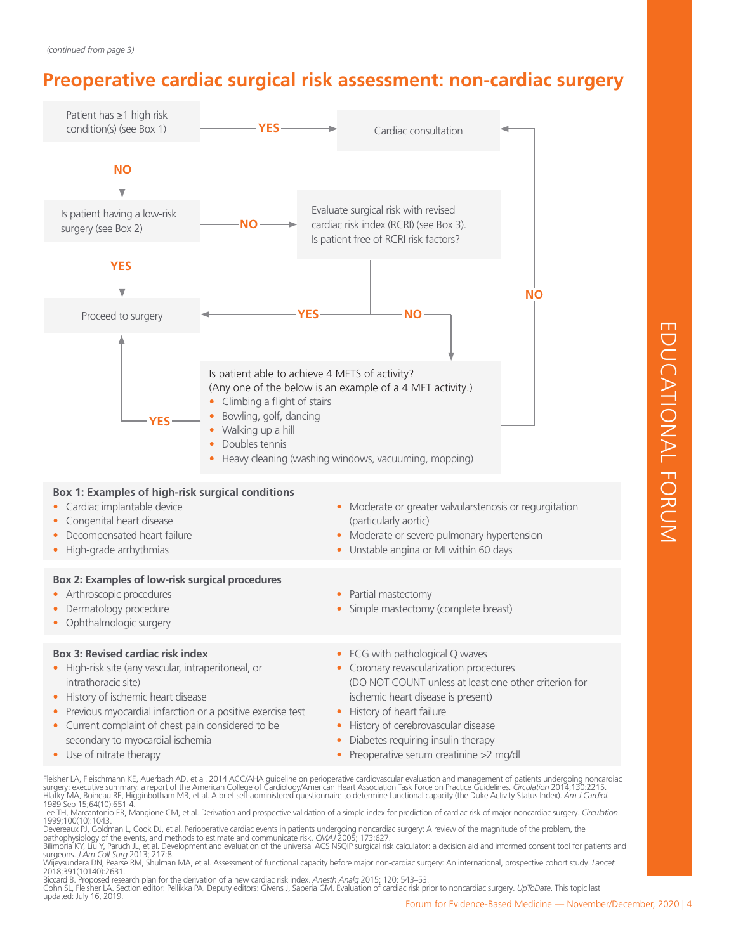# **Preoperative cardiac surgical risk assessment: non-cardiac surgery**



Fleisher LA, Fleischmann KE, Auerbach AD, et al. 2014 ACC/AHA guideline on perioperative cardiovascular evaluation and management of patients undergoing noncardiac surgery: executive summary: a report of the American College of Cardiology/American Heart Association Task Force on Practice Guidelines. *Circulation* 2014;130:2215.<br>Hlatky MA, Boineau RE, Higginbotham MB, et al. A brief s

1989 Sep 15;64(10):651-4.<br>Lee TH, Marcantonio ER, Mangione CM, et al. Derivation and prospective validation of a simple index for prediction of cardiac risk of major noncardiac surgery. *Circulation.*<br>1999;100(10):1043.

Devereaux PJ, Goldman L, Cook DJ, et al. Perioperative cardiac events in patients undergoing noncardiac surgery: A review of the magnitude of the problem, the<br>pathophysiology of the events, and methods to estimate and comm

Biccard B. Proposed research plan for the derivation of a new cardiac risk index. *Anesth Analg* 2015; 120: 543–53.<br>Cohn SL, Fleisher LA. Section editor: Pellikka PA. Deputy editors: Givens J, Saperia GM. Evaluation of car updated: July 16, 2019.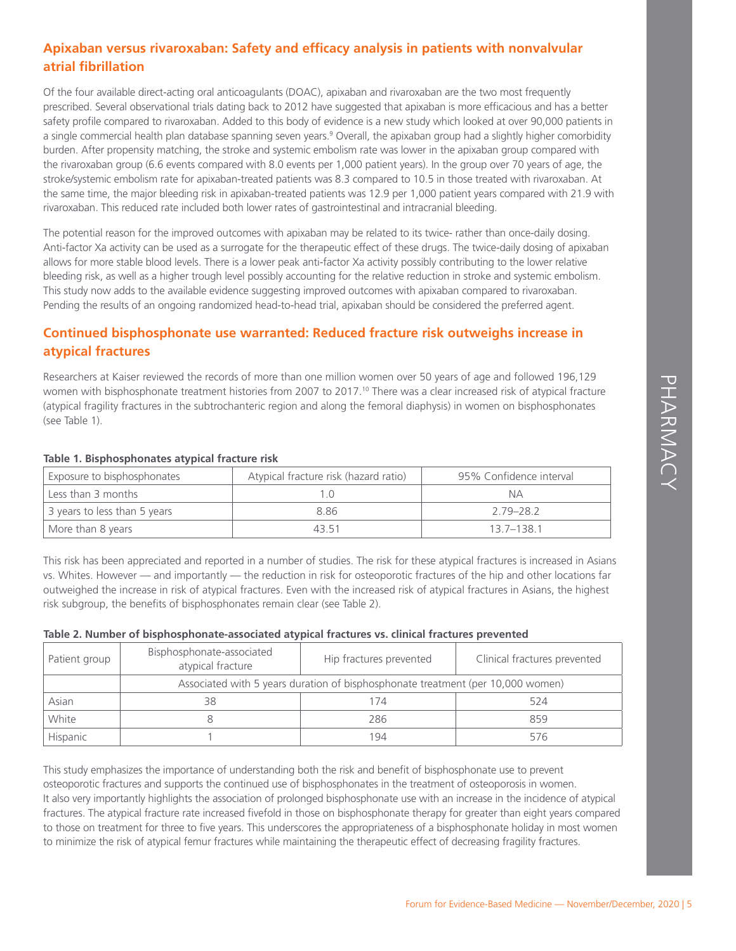# **Apixaban versus rivaroxaban: Safety and efficacy analysis in patients with nonvalvular atrial fibrillation**

Of the four available direct-acting oral anticoagulants (DOAC), apixaban and rivaroxaban are the two most frequently prescribed. Several observational trials dating back to 2012 have suggested that apixaban is more efficacious and has a better safety profile compared to rivaroxaban. Added to this body of evidence is a new study which looked at over 90,000 patients in a single commercial health plan database spanning seven years.<sup>9</sup> Overall, the apixaban group had a slightly higher comorbidity burden. After propensity matching, the stroke and systemic embolism rate was lower in the apixaban group compared with the rivaroxaban group (6.6 events compared with 8.0 events per 1,000 patient years). In the group over 70 years of age, the stroke/systemic embolism rate for apixaban-treated patients was 8.3 compared to 10.5 in those treated with rivaroxaban. At the same time, the major bleeding risk in apixaban-treated patients was 12.9 per 1,000 patient years compared with 21.9 with rivaroxaban. This reduced rate included both lower rates of gastrointestinal and intracranial bleeding.

The potential reason for the improved outcomes with apixaban may be related to its twice- rather than once-daily dosing. Anti-factor Xa activity can be used as a surrogate for the therapeutic effect of these drugs. The twice-daily dosing of apixaban allows for more stable blood levels. There is a lower peak anti-factor Xa activity possibly contributing to the lower relative bleeding risk, as well as a higher trough level possibly accounting for the relative reduction in stroke and systemic embolism. This study now adds to the available evidence suggesting improved outcomes with apixaban compared to rivaroxaban. Pending the results of an ongoing randomized head-to-head trial, apixaban should be considered the preferred agent.

# **Continued bisphosphonate use warranted: Reduced fracture risk outweighs increase in atypical fractures**

Researchers at Kaiser reviewed the records of more than one million women over 50 years of age and followed 196,129 women with bisphosphonate treatment histories from 2007 to 2017.<sup>10</sup> There was a clear increased risk of atypical fracture (atypical fragility fractures in the subtrochanteric region and along the femoral diaphysis) in women on bisphosphonates (see Table 1).

| Exposure to bisphosphonates  | Atypical fracture risk (hazard ratio) | 95% Confidence interval |
|------------------------------|---------------------------------------|-------------------------|
| Less than 3 months           |                                       | NА                      |
| 3 years to less than 5 years | 886                                   | 279-282                 |
| More than 8 years            | 43.51                                 | 137-1381                |

### **Table 1. Bisphosphonates atypical fracture risk**

This risk has been appreciated and reported in a number of studies. The risk for these atypical fractures is increased in Asians vs. Whites. However — and importantly — the reduction in risk for osteoporotic fractures of the hip and other locations far outweighed the increase in risk of atypical fractures. Even with the increased risk of atypical fractures in Asians, the highest risk subgroup, the benefits of bisphosphonates remain clear (see Table 2).

### **Table 2. Number of bisphosphonate-associated atypical fractures vs. clinical fractures prevented**

| Patient group | Bisphosphonate-associated<br>atypical fracture                                  | Hip fractures prevented | Clinical fractures prevented |  |
|---------------|---------------------------------------------------------------------------------|-------------------------|------------------------------|--|
|               | Associated with 5 years duration of bisphosphonate treatment (per 10,000 women) |                         |                              |  |
| Asian         | 38                                                                              | 74                      | 524                          |  |
| White         |                                                                                 | 286                     | 859                          |  |
| Hispanic      |                                                                                 | 194                     | 576                          |  |

This study emphasizes the importance of understanding both the risk and benefit of bisphosphonate use to prevent osteoporotic fractures and supports the continued use of bisphosphonates in the treatment of osteoporosis in women. It also very importantly highlights the association of prolonged bisphosphonate use with an increase in the incidence of atypical fractures. The atypical fracture rate increased fivefold in those on bisphosphonate therapy for greater than eight years compared to those on treatment for three to five years. This underscores the appropriateness of a bisphosphonate holiday in most women to minimize the risk of atypical femur fractures while maintaining the therapeutic effect of decreasing fragility fractures.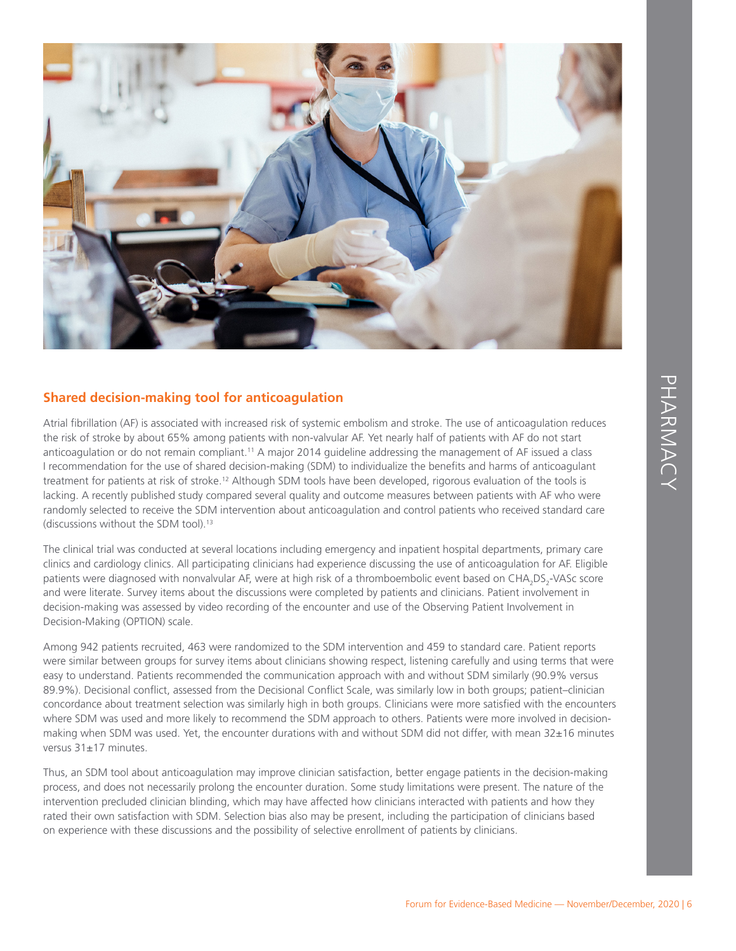

# **Shared decision-making tool for anticoagulation**

Atrial fibrillation (AF) is associated with increased risk of systemic embolism and stroke. The use of anticoagulation reduces the risk of stroke by about 65% among patients with non-valvular AF. Yet nearly half of patients with AF do not start anticoagulation or do not remain compliant.<sup>11</sup> A major 2014 guideline addressing the management of AF issued a class I recommendation for the use of shared decision-making (SDM) to individualize the benefits and harms of anticoagulant treatment for patients at risk of stroke.<sup>12</sup> Although SDM tools have been developed, rigorous evaluation of the tools is lacking. A recently published study compared several quality and outcome measures between patients with AF who were randomly selected to receive the SDM intervention about anticoagulation and control patients who received standard care (discussions without the SDM tool).13

The clinical trial was conducted at several locations including emergency and inpatient hospital departments, primary care clinics and cardiology clinics. All participating clinicians had experience discussing the use of anticoagulation for AF. Eligible patients were diagnosed with nonvalvular AF, were at high risk of a thromboembolic event based on CHA<sub>2</sub>DS<sub>2</sub>-VASc score and were literate. Survey items about the discussions were completed by patients and clinicians. Patient involvement in decision-making was assessed by video recording of the encounter and use of the Observing Patient Involvement in Decision-Making (OPTION) scale.

Among 942 patients recruited, 463 were randomized to the SDM intervention and 459 to standard care. Patient reports were similar between groups for survey items about clinicians showing respect, listening carefully and using terms that were easy to understand. Patients recommended the communication approach with and without SDM similarly (90.9% versus 89.9%). Decisional conflict, assessed from the Decisional Conflict Scale, was similarly low in both groups; patient–clinician concordance about treatment selection was similarly high in both groups. Clinicians were more satisfied with the encounters where SDM was used and more likely to recommend the SDM approach to others. Patients were more involved in decisionmaking when SDM was used. Yet, the encounter durations with and without SDM did not differ, with mean 32±16 minutes versus 31±17 minutes.

Thus, an SDM tool about anticoagulation may improve clinician satisfaction, better engage patients in the decision-making process, and does not necessarily prolong the encounter duration. Some study limitations were present. The nature of the intervention precluded clinician blinding, which may have affected how clinicians interacted with patients and how they rated their own satisfaction with SDM. Selection bias also may be present, including the participation of clinicians based on experience with these discussions and the possibility of selective enrollment of patients by clinicians.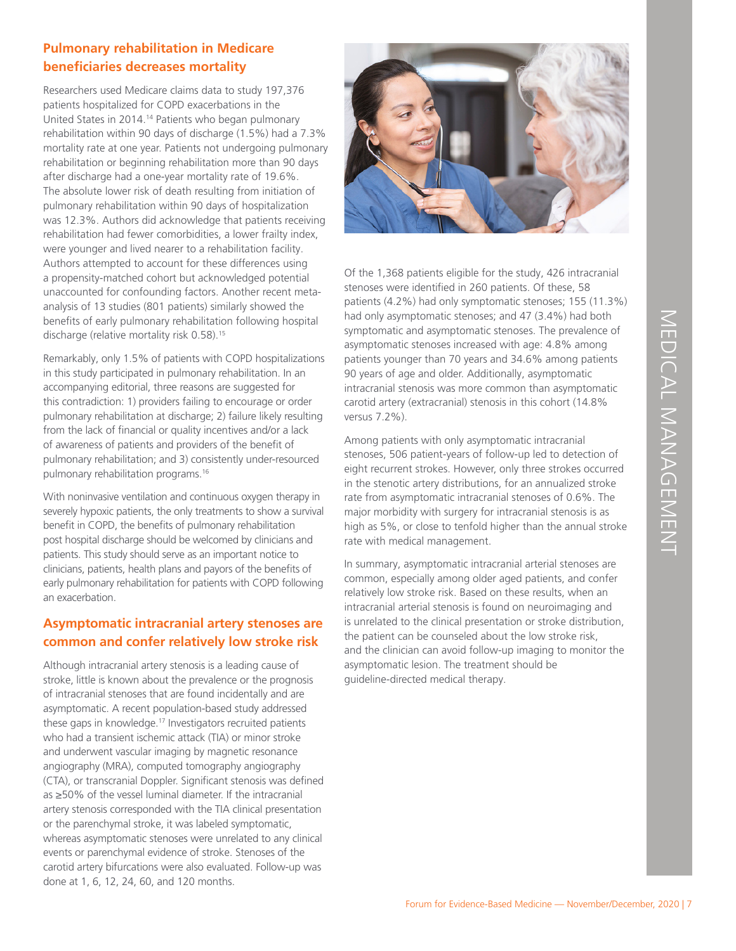# **Pulmonary rehabilitation in Medicare beneficiaries decreases mortality**

Researchers used Medicare claims data to study 197,376 patients hospitalized for COPD exacerbations in the United States in 2014.14 Patients who began pulmonary rehabilitation within 90 days of discharge (1.5%) had a 7.3% mortality rate at one year. Patients not undergoing pulmonary rehabilitation or beginning rehabilitation more than 90 days after discharge had a one-year mortality rate of 19.6%. The absolute lower risk of death resulting from initiation of pulmonary rehabilitation within 90 days of hospitalization was 12.3%. Authors did acknowledge that patients receiving rehabilitation had fewer comorbidities, a lower frailty index, were younger and lived nearer to a rehabilitation facility. Authors attempted to account for these differences using a propensity-matched cohort but acknowledged potential unaccounted for confounding factors. Another recent metaanalysis of 13 studies (801 patients) similarly showed the benefits of early pulmonary rehabilitation following hospital discharge (relative mortality risk 0.58).15

Remarkably, only 1.5% of patients with COPD hospitalizations in this study participated in pulmonary rehabilitation. In an accompanying editorial, three reasons are suggested for this contradiction: 1) providers failing to encourage or order pulmonary rehabilitation at discharge; 2) failure likely resulting from the lack of financial or quality incentives and/or a lack of awareness of patients and providers of the benefit of pulmonary rehabilitation; and 3) consistently under-resourced pulmonary rehabilitation programs.16

With noninvasive ventilation and continuous oxygen therapy in severely hypoxic patients, the only treatments to show a survival benefit in COPD, the benefits of pulmonary rehabilitation post hospital discharge should be welcomed by clinicians and patients. This study should serve as an important notice to clinicians, patients, health plans and payors of the benefits of early pulmonary rehabilitation for patients with COPD following an exacerbation.

# **Asymptomatic intracranial artery stenoses are common and confer relatively low stroke risk**

Although intracranial artery stenosis is a leading cause of stroke, little is known about the prevalence or the prognosis of intracranial stenoses that are found incidentally and are asymptomatic. A recent population-based study addressed these gaps in knowledge.<sup>17</sup> Investigators recruited patients who had a transient ischemic attack (TIA) or minor stroke and underwent vascular imaging by magnetic resonance angiography (MRA), computed tomography angiography (CTA), or transcranial Doppler. Significant stenosis was defined as ≥50% of the vessel luminal diameter. If the intracranial artery stenosis corresponded with the TIA clinical presentation or the parenchymal stroke, it was labeled symptomatic, whereas asymptomatic stenoses were unrelated to any clinical events or parenchymal evidence of stroke. Stenoses of the carotid artery bifurcations were also evaluated. Follow-up was done at 1, 6, 12, 24, 60, and 120 months.



Of the 1,368 patients eligible for the study, 426 intracranial stenoses were identified in 260 patients. Of these, 58 patients (4.2%) had only symptomatic stenoses; 155 (11.3%) had only asymptomatic stenoses; and 47 (3.4%) had both symptomatic and asymptomatic stenoses. The prevalence of asymptomatic stenoses increased with age: 4.8% among patients younger than 70 years and 34.6% among patients 90 years of age and older. Additionally, asymptomatic intracranial stenosis was more common than asymptomatic carotid artery (extracranial) stenosis in this cohort (14.8% versus 7.2%).

Among patients with only asymptomatic intracranial stenoses, 506 patient-years of follow-up led to detection of eight recurrent strokes. However, only three strokes occurred in the stenotic artery distributions, for an annualized stroke rate from asymptomatic intracranial stenoses of 0.6%. The major morbidity with surgery for intracranial stenosis is as high as 5%, or close to tenfold higher than the annual stroke rate with medical management.

mptomatic stenoses; and 47 (3.4%) had both<br>
are are prevalence of<br>
are than 70 years and 34.6% among parents<br>
gee than 70 years and 34.6% among parents<br>
en and older. Additionally, asymptomatic<br>
enosis was more common than In summary, asymptomatic intracranial arterial stenoses are common, especially among older aged patients, and confer relatively low stroke risk. Based on these results, when an intracranial arterial stenosis is found on neuroimaging and is unrelated to the clinical presentation or stroke distribution, the patient can be counseled about the low stroke risk, and the clinician can avoid follow-up imaging to monitor the asymptomatic lesion. The treatment should be guideline-directed medical therapy.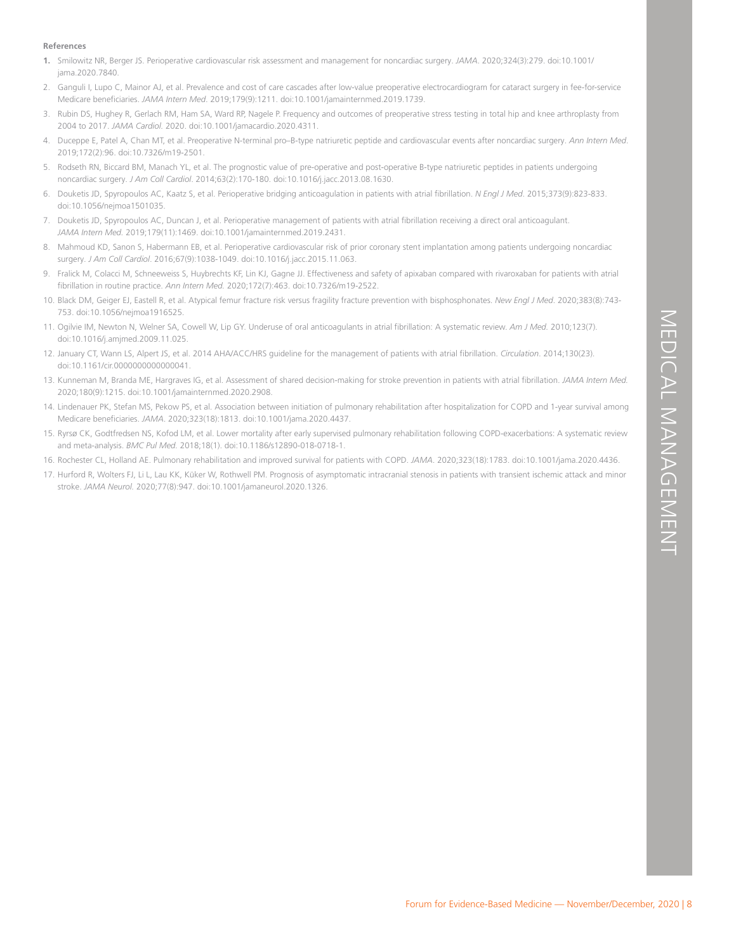# For Existenable review. Am J Med. 2010;123(7).<br>
For Existin attrict if for Evidence, 2014;130(23).<br>
From the respitalization for CoPD and 1-year survival among<br>
abilitation following COPD-exacerbations: A systematic revie

### **References**

- **1.** Smilowitz NR, Berger JS. Perioperative cardiovascular risk assessment and management for noncardiac surgery. *JAMA*. 2020;324(3):279. doi:10.1001/ jama.2020.7840.
- Ganguli I, Lupo C, Mainor AJ, et al. Prevalence and cost of care cascades after low-value preoperative electrocardiogram for cataract surgery in fee-for-service Medicare beneficiaries. *JAMA Intern Med*. 2019;179(9):1211. doi:10.1001/jamainternmed.2019.1739.
- 3. Rubin DS, Hughey R, Gerlach RM, Ham SA, Ward RP, Nagele P. Frequency and outcomes of preoperative stress testing in total hip and knee arthroplasty from 2004 to 2017. *JAMA Cardiol.* 2020. doi:10.1001/jamacardio.2020.4311.
- 4. Duceppe E, Patel A, Chan MT, et al. Preoperative N-terminal pro–B-type natriuretic peptide and cardiovascular events after noncardiac surgery. *Ann Intern Med*. 2019;172(2):96. doi:10.7326/m19-2501.
- 5. Rodseth RN, Biccard BM, Manach YL, et al. The prognostic value of pre-operative and post-operative B-type natriuretic peptides in patients undergoing noncardiac surgery. *J Am Coll Cardiol*. 2014;63(2):170-180. doi:10.1016/j.jacc.2013.08.1630.
- 6. Douketis JD, Spyropoulos AC, Kaatz S, et al. Perioperative bridging anticoagulation in patients with atrial fibrillation. *N Engl J Med*. 2015;373(9):823-833. doi:10.1056/nejmoa1501035.
- 7. Douketis JD, Spyropoulos AC, Duncan J, et al. Perioperative management of patients with atrial fibrillation receiving a direct oral anticoagulant. *JAMA Intern Med.* 2019;179(11):1469. doi:10.1001/jamainternmed.2019.2431.
- 8. Mahmoud KD, Sanon S, Habermann EB, et al. Perioperative cardiovascular risk of prior coronary stent implantation among patients undergoing noncardiac surgery. *J Am Coll Cardiol*. 2016;67(9):1038-1049. doi:10.1016/j.jacc.2015.11.063.
- 9. Fralick M, Colacci M, Schneeweiss S, Huybrechts KF, Lin KJ, Gagne JJ. Effectiveness and safety of apixaban compared with rivaroxaban for patients with atrial fibrillation in routine practice. *Ann Intern Med.* 2020;172(7):463. doi:10.7326/m19-2522.
- 10. Black DM, Geiger EJ, Eastell R, et al. Atypical femur fracture risk versus fragility fracture prevention with bisphosphonates. *New Engl J Med*. 2020;383(8):743- 753. doi:10.1056/nejmoa1916525.
- 11. Ogilvie IM, Newton N, Welner SA, Cowell W, Lip GY. Underuse of oral anticoagulants in atrial fibrillation: A systematic review. *Am J Med.* 2010;123(7). doi:10.1016/j.amjmed.2009.11.025.
- 12. January CT, Wann LS, Alpert JS, et al. 2014 AHA/ACC/HRS guideline for the management of patients with atrial fibrillation. *Circulation*. 2014;130(23). doi:10.1161/cir.0000000000000041.
- 13. Kunneman M, Branda ME, Hargraves IG, et al. Assessment of shared decision-making for stroke prevention in patients with atrial fibrillation. *JAMA Intern Med.* 2020;180(9):1215. doi:10.1001/jamainternmed.2020.2908.
- 14. Lindenauer PK, Stefan MS, Pekow PS, et al. Association between initiation of pulmonary rehabilitation after hospitalization for COPD and 1-year survival among Medicare beneficiaries. *JAMA*. 2020;323(18):1813. doi:10.1001/jama.2020.4437.
- 15. Ryrsø CK, Godtfredsen NS, Kofod LM, et al. Lower mortality after early supervised pulmonary rehabilitation following COPD-exacerbations: A systematic review and meta-analysis. *BMC Pul Med.* 2018;18(1). doi:10.1186/s12890-018-0718-1.
- 16. Rochester CL, Holland AE. Pulmonary rehabilitation and improved survival for patients with COPD. *JAMA*. 2020;323(18):1783. doi:10.1001/jama.2020.4436.
- 17. Hurford R, Wolters FJ, Li L, Lau KK, Küker W, Rothwell PM. Prognosis of asymptomatic intracranial stenosis in patients with transient ischemic attack and minor stroke. *JAMA Neurol.* 2020;77(8):947. doi:10.1001/jamaneurol.2020.1326.